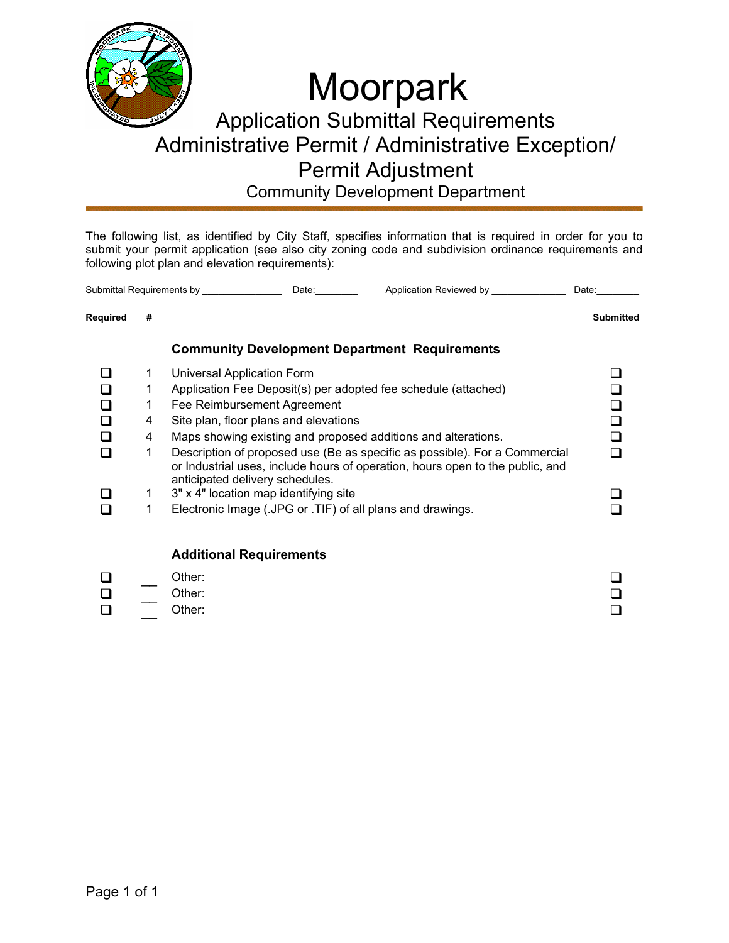

Community Development Department

The following list, as identified by City Staff, specifies information that is required in order for you to submit your permit application (see also city zoning code and subdivision ordinance requirements and following plot plan and elevation requirements):

| Submittal Requirements by |    | Date: | Application Reviewed by                              | Date:     |
|---------------------------|----|-------|------------------------------------------------------|-----------|
| Reauired                  | -# |       |                                                      | Submitted |
|                           |    |       | <b>Community Development Department Requirements</b> |           |

|   | Universal Application Form                                                                                                                                                                     |  |
|---|------------------------------------------------------------------------------------------------------------------------------------------------------------------------------------------------|--|
|   | Application Fee Deposit(s) per adopted fee schedule (attached)                                                                                                                                 |  |
|   | Fee Reimbursement Agreement                                                                                                                                                                    |  |
| 4 | Site plan, floor plans and elevations                                                                                                                                                          |  |
| 4 | Maps showing existing and proposed additions and alterations.                                                                                                                                  |  |
|   | Description of proposed use (Be as specific as possible). For a Commercial<br>or Industrial uses, include hours of operation, hours open to the public, and<br>anticipated delivery schedules. |  |
|   | 3" x 4" location map identifying site                                                                                                                                                          |  |
|   | Electronic Image (.JPG or .TIF) of all plans and drawings.                                                                                                                                     |  |
|   |                                                                                                                                                                                                |  |

#### **Additional Requirements**

| $\Box$ | Other: | □      |
|--------|--------|--------|
| $\Box$ | Other: | $\Box$ |
| $\Box$ | Other: | ◻      |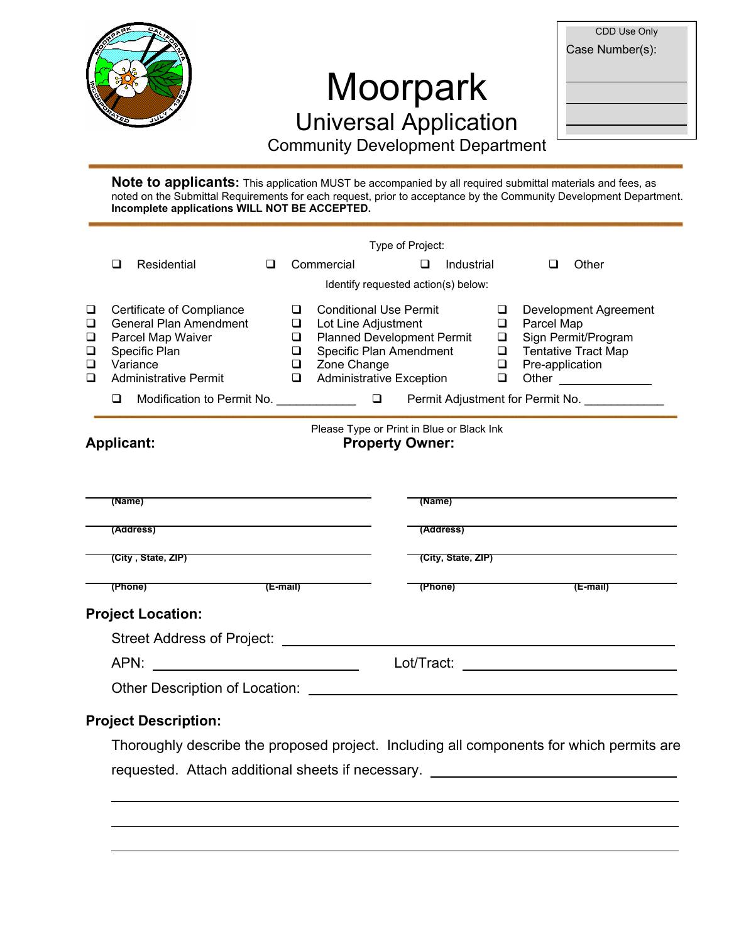

 $\overline{a}$ 

 $\overline{a}$ 

# Moorpark Universal Application

| CDD Use Only    |
|-----------------|
| Case Number(s): |
|                 |
|                 |
|                 |
|                 |
|                 |

Community Development Department

**Note to applicants:** This application MUST be accompanied by all required submittal materials and fees, as noted on the Submittal Requirements for each request, prior to acceptance by the Community Development Department. **Incomplete applications WILL NOT BE ACCEPTED.**

|                            |                       |                                                                                                                                                                                                                                                                                                                                                                                |   |                                             |                                                                                                                                                                        |  | Type of Project: |                       |                                           |                               |                                                                            |
|----------------------------|-----------------------|--------------------------------------------------------------------------------------------------------------------------------------------------------------------------------------------------------------------------------------------------------------------------------------------------------------------------------------------------------------------------------|---|---------------------------------------------|------------------------------------------------------------------------------------------------------------------------------------------------------------------------|--|------------------|-----------------------|-------------------------------------------|-------------------------------|----------------------------------------------------------------------------|
|                            | □                     | Residential                                                                                                                                                                                                                                                                                                                                                                    | ◻ |                                             | Commercial                                                                                                                                                             |  | $\Box$           | Industrial            |                                           | □                             | Other                                                                      |
|                            |                       |                                                                                                                                                                                                                                                                                                                                                                                |   |                                             | Identify requested action(s) below:                                                                                                                                    |  |                  |                       |                                           |                               |                                                                            |
| ❏<br>❏<br>❏<br>❏<br>□<br>◻ | ❏                     | Certificate of Compliance<br><b>General Plan Amendment</b><br>Parcel Map Waiver<br>Specific Plan<br>Variance<br><b>Administrative Permit</b><br>Modification to Permit No. \Resume \Resume \Resume \Resume \Resume \Resume \Resume \Resume \Resume \Resume \Resume \Resume \Resume \Resume \Resume \Resume \Resume \Resume \Resume \Resume \Resume \Resume \Resume \Resume \Re |   | ❏<br>Q.<br>Q.<br>$\Box$<br>$\Box$<br>$\Box$ | <b>Conditional Use Permit</b><br>Lot Line Adjustment<br><b>Planned Development Permit</b><br>Specific Plan Amendment<br>Zone Change<br><b>Administrative Exception</b> |  |                  |                       | □<br>❏<br>□<br>$\Box$<br>$\Box$<br>$\Box$ | Parcel Map<br>Pre-application | Development Agreement<br>Sign Permit/Program<br><b>Tentative Tract Map</b> |
|                            |                       | <b>Applicant:</b>                                                                                                                                                                                                                                                                                                                                                              |   |                                             | Please Type or Print in Blue or Black Ink<br><b>Property Owner:</b>                                                                                                    |  |                  |                       |                                           |                               |                                                                            |
|                            | (Name)                | (Address) <b>(Address)</b>                                                                                                                                                                                                                                                                                                                                                     |   |                                             |                                                                                                                                                                        |  | (Name)           |                       |                                           |                               | (Address) <b>Example 20</b> No. 2014 1994                                  |
|                            |                       |                                                                                                                                                                                                                                                                                                                                                                                |   |                                             |                                                                                                                                                                        |  |                  |                       |                                           |                               |                                                                            |
|                            |                       | (City, State, ZIP)                                                                                                                                                                                                                                                                                                                                                             |   |                                             |                                                                                                                                                                        |  |                  | (City, State, ZIP)    |                                           |                               |                                                                            |
|                            |                       | (Phone)                                                                                                                                                                                                                                                                                                                                                                        |   |                                             |                                                                                                                                                                        |  |                  | $(Phone)$ $( E-mail)$ |                                           |                               |                                                                            |
|                            |                       | <b>Project Location:</b>                                                                                                                                                                                                                                                                                                                                                       |   |                                             |                                                                                                                                                                        |  |                  |                       |                                           |                               |                                                                            |
|                            |                       |                                                                                                                                                                                                                                                                                                                                                                                |   |                                             |                                                                                                                                                                        |  |                  |                       |                                           |                               |                                                                            |
|                            | Lot/Tract: Lot/Tract: |                                                                                                                                                                                                                                                                                                                                                                                |   |                                             |                                                                                                                                                                        |  |                  |                       |                                           |                               |                                                                            |
|                            |                       | Other Description of Location: <u>contained</u> and the contact of the contact of the contact of the contact of the contact of the contact of the contact of the contact of the contact of the contact of the contact of the contac                                                                                                                                            |   |                                             |                                                                                                                                                                        |  |                  |                       |                                           |                               |                                                                            |
|                            |                       | <b>Project Description:</b>                                                                                                                                                                                                                                                                                                                                                    |   |                                             |                                                                                                                                                                        |  |                  |                       |                                           |                               |                                                                            |
|                            |                       | Thoroughly describe the proposed project. Including all components for which permits are                                                                                                                                                                                                                                                                                       |   |                                             |                                                                                                                                                                        |  |                  |                       |                                           |                               |                                                                            |
|                            |                       | requested. Attach additional sheets if necessary.                                                                                                                                                                                                                                                                                                                              |   |                                             |                                                                                                                                                                        |  |                  |                       |                                           |                               |                                                                            |
|                            |                       |                                                                                                                                                                                                                                                                                                                                                                                |   |                                             |                                                                                                                                                                        |  |                  |                       |                                           |                               |                                                                            |
|                            |                       |                                                                                                                                                                                                                                                                                                                                                                                |   |                                             |                                                                                                                                                                        |  |                  |                       |                                           |                               |                                                                            |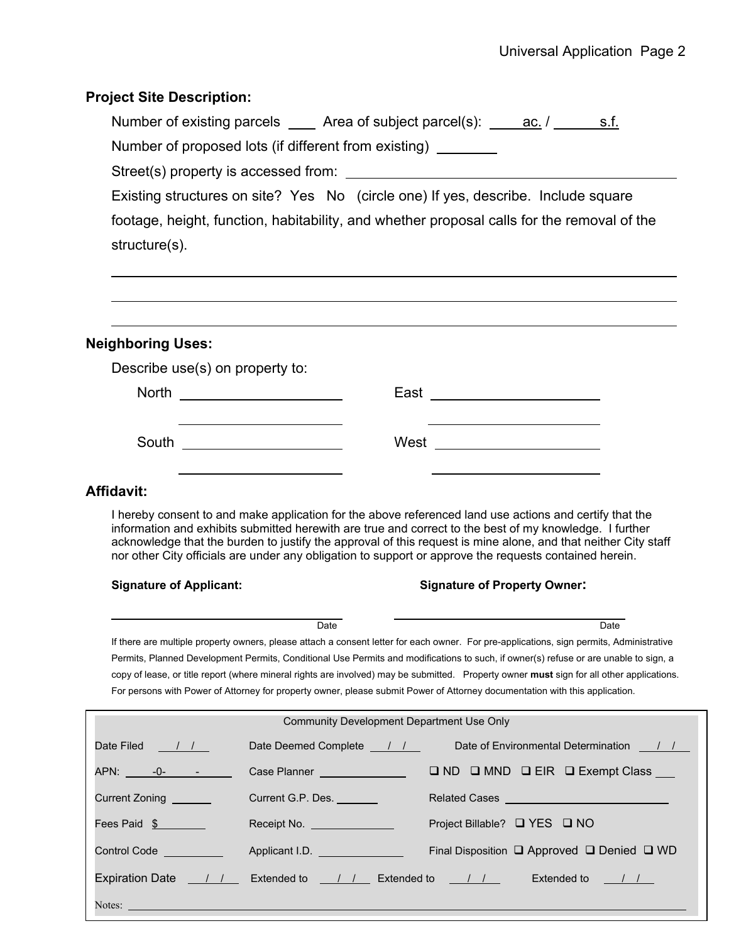#### **Project Site Description:**

| Number of existing parcels ______ Area of subject parcel(s): ______ ac. /<br>s.f.          |  |  |  |  |  |
|--------------------------------------------------------------------------------------------|--|--|--|--|--|
| Number of proposed lots (if different from existing)                                       |  |  |  |  |  |
| Street(s) property is accessed from:                                                       |  |  |  |  |  |
| Existing structures on site? Yes No (circle one) If yes, describe. Include square          |  |  |  |  |  |
| footage, height, function, habitability, and whether proposal calls for the removal of the |  |  |  |  |  |
| structure(s).                                                                              |  |  |  |  |  |
|                                                                                            |  |  |  |  |  |

### **Neighboring Uses:**

Describe use(s) on property to:

| <b>North</b> | East |
|--------------|------|
|              |      |
| South        | West |
|              |      |

### **Affidavit:**

 $\overline{a}$ 

 $\overline{a}$ 

I hereby consent to and make application for the above referenced land use actions and certify that the information and exhibits submitted herewith are true and correct to the best of my knowledge. I further acknowledge that the burden to justify the approval of this request is mine alone, and that neither City staff nor other City officials are under any obligation to support or approve the requests contained herein.

#### **Signature of Applicant: Signature of Property Owner:**

nde de la provincia de la provincia de la provincia de la provincia de la provincia de la provincia de la prov If there are multiple property owners, please attach a consent letter for each owner. For pre-applications, sign permits, Administrative Permits, Planned Development Permits, Conditional Use Permits and modifications to such, if owner(s) refuse or are unable to sign, a copy of lease, or title report (where mineral rights are involved) may be submitted. Property owner **must** sign for all other applications. For persons with Power of Attorney for property owner, please submit Power of Attorney documentation with this application.

| Community Development Department Use Only                                                                                                                                                                                      |                                                                                                                     |  |  |  |  |  |
|--------------------------------------------------------------------------------------------------------------------------------------------------------------------------------------------------------------------------------|---------------------------------------------------------------------------------------------------------------------|--|--|--|--|--|
| Date Filed <u>VII</u>                                                                                                                                                                                                          | Date of Environmental Determination / /<br>Date Deemed Complete 11                                                  |  |  |  |  |  |
|                                                                                                                                                                                                                                | $\Box$ ND $\Box$ MND $\Box$ EIR $\Box$ Exempt Class ___<br>Case Planner __________________                          |  |  |  |  |  |
| Current Zoning <b>Current</b>                                                                                                                                                                                                  | Current G.P. Des.                                                                                                   |  |  |  |  |  |
| Fees Paid \$                                                                                                                                                                                                                   | Project Billable? □ YES □ NO<br>Receipt No. <u>Communication</u>                                                    |  |  |  |  |  |
| Control Code __________                                                                                                                                                                                                        | Final Disposition $\square$ Approved $\square$ Denied $\square$ WD<br>Applicant I.D. <b>Example 20</b> No. 1 (1994) |  |  |  |  |  |
|                                                                                                                                                                                                                                | Extended to $\sqrt{1}$                                                                                              |  |  |  |  |  |
| Notes: Notes: Notes: Notes: Notes: Notes: Notes: Notes: Notes: Notes: Notes: Notes: Notes: Notes: Notes: Notes: Notes: Notes: Notes: Notes: Notes: Notes: Notes: Notes: Notes: Notes: Notes: Notes: Notes: Notes: Notes: Notes |                                                                                                                     |  |  |  |  |  |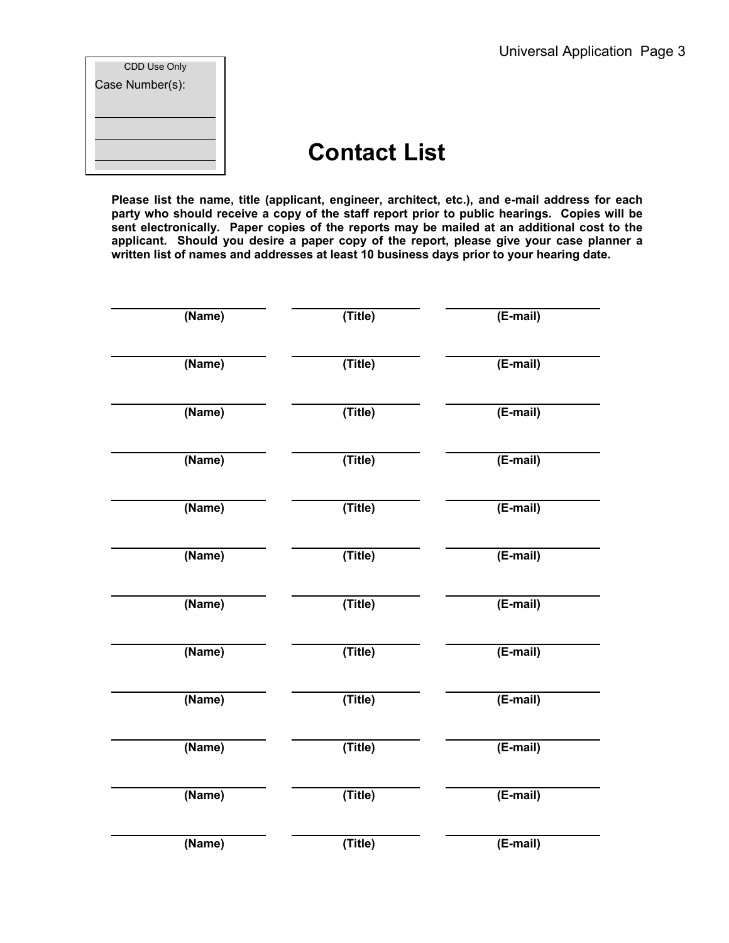| CDD Use Only    |
|-----------------|
| Case Number(s): |
|                 |
|                 |
|                 |
|                 |
|                 |

## **Contact List**

**Please list the name, title (applicant, engineer, architect, etc.), and e-mail address for each party who should receive a copy of the staff report prior to public hearings. Copies will be sent electronically. Paper copies of the reports may be mailed at an additional cost to the applicant. Should you desire a paper copy of the report, please give your case planner a written list of names and addresses at least 10 business days prior to your hearing date.** 

| (Name) | (Title) | $(E-mail)$ |
|--------|---------|------------|
| (Name) | (Title) | (E-mail)   |
| (Name) | (Title) | $(E-mail)$ |
| (Name) | (Title) | $(E-mail)$ |
| (Name) | (Title) | $(E-mail)$ |
| (Name) | (Title) | (E-mail)   |
| (Name) | (Title) | (E-mail)   |
| (Name) | (Title) | $(E-mail)$ |
| (Name) | (Title) | $(E-mail)$ |
| (Name) | (Title) | (E-mail)   |
| (Name) | (Title) | (E-mail)   |
| (Name) | (Title) | (E-mail)   |